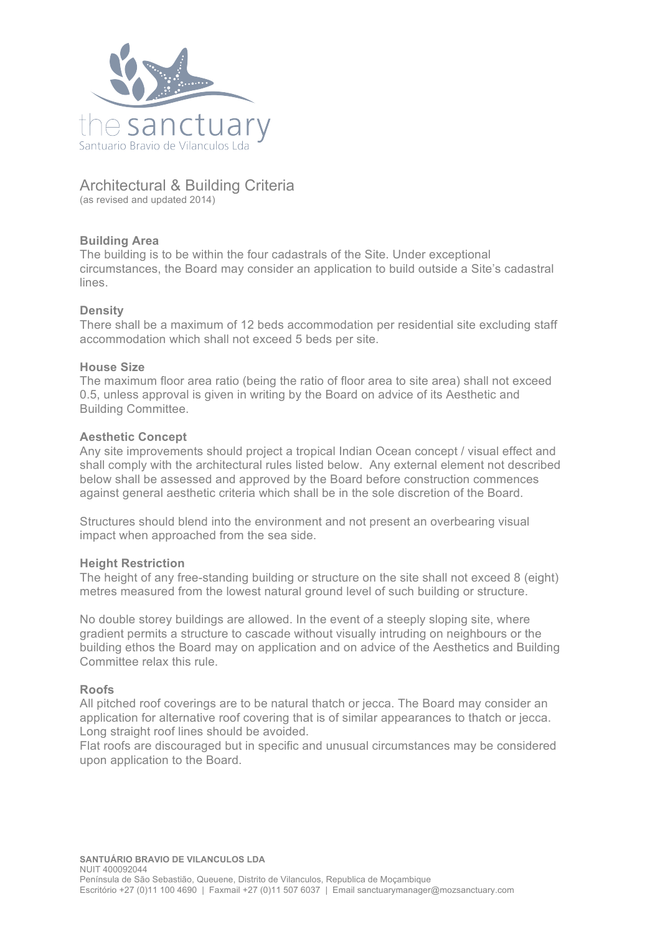

# Architectural & Building Criteria

(as revised and updated 2014)

# **Building Area**

The building is to be within the four cadastrals of the Site. Under exceptional circumstances, the Board may consider an application to build outside a Site's cadastral lines.

# **Density**

There shall be a maximum of 12 beds accommodation per residential site excluding staff accommodation which shall not exceed 5 beds per site.

# **House Size**

The maximum floor area ratio (being the ratio of floor area to site area) shall not exceed 0.5, unless approval is given in writing by the Board on advice of its Aesthetic and Building Committee.

# **Aesthetic Concept**

Any site improvements should project a tropical Indian Ocean concept / visual effect and shall comply with the architectural rules listed below. Any external element not described below shall be assessed and approved by the Board before construction commences against general aesthetic criteria which shall be in the sole discretion of the Board.

Structures should blend into the environment and not present an overbearing visual impact when approached from the sea side.

# **Height Restriction**

The height of any free-standing building or structure on the site shall not exceed 8 (eight) metres measured from the lowest natural ground level of such building or structure.

No double storey buildings are allowed. In the event of a steeply sloping site, where gradient permits a structure to cascade without visually intruding on neighbours or the building ethos the Board may on application and on advice of the Aesthetics and Building Committee relax this rule.

# **Roofs**

All pitched roof coverings are to be natural thatch or jecca. The Board may consider an application for alternative roof covering that is of similar appearances to thatch or jecca. Long straight roof lines should be avoided.

Flat roofs are discouraged but in specific and unusual circumstances may be considered upon application to the Board.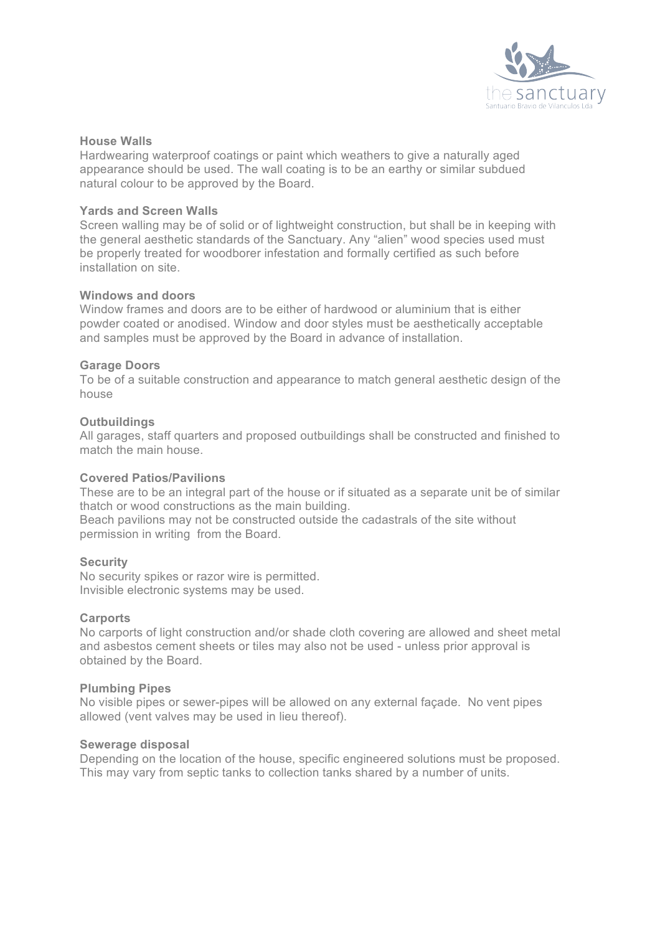

#### **House Walls**

Hardwearing waterproof coatings or paint which weathers to give a naturally aged appearance should be used. The wall coating is to be an earthy or similar subdued natural colour to be approved by the Board.

# **Yards and Screen Walls**

Screen walling may be of solid or of lightweight construction, but shall be in keeping with the general aesthetic standards of the Sanctuary. Any "alien" wood species used must be properly treated for woodborer infestation and formally certified as such before installation on site.

#### **Windows and doors**

Window frames and doors are to be either of hardwood or aluminium that is either powder coated or anodised. Window and door styles must be aesthetically acceptable and samples must be approved by the Board in advance of installation.

# **Garage Doors**

To be of a suitable construction and appearance to match general aesthetic design of the house

# **Outbuildings**

All garages, staff quarters and proposed outbuildings shall be constructed and finished to match the main house.

#### **Covered Patios/Pavilions**

These are to be an integral part of the house or if situated as a separate unit be of similar thatch or wood constructions as the main building.

Beach pavilions may not be constructed outside the cadastrals of the site without permission in writing from the Board.

#### **Security**

No security spikes or razor wire is permitted. Invisible electronic systems may be used.

#### **Carports**

No carports of light construction and/or shade cloth covering are allowed and sheet metal and asbestos cement sheets or tiles may also not be used - unless prior approval is obtained by the Board.

#### **Plumbing Pipes**

No visible pipes or sewer-pipes will be allowed on any external façade. No vent pipes allowed (vent valves may be used in lieu thereof).

#### **Sewerage disposal**

Depending on the location of the house, specific engineered solutions must be proposed. This may vary from septic tanks to collection tanks shared by a number of units.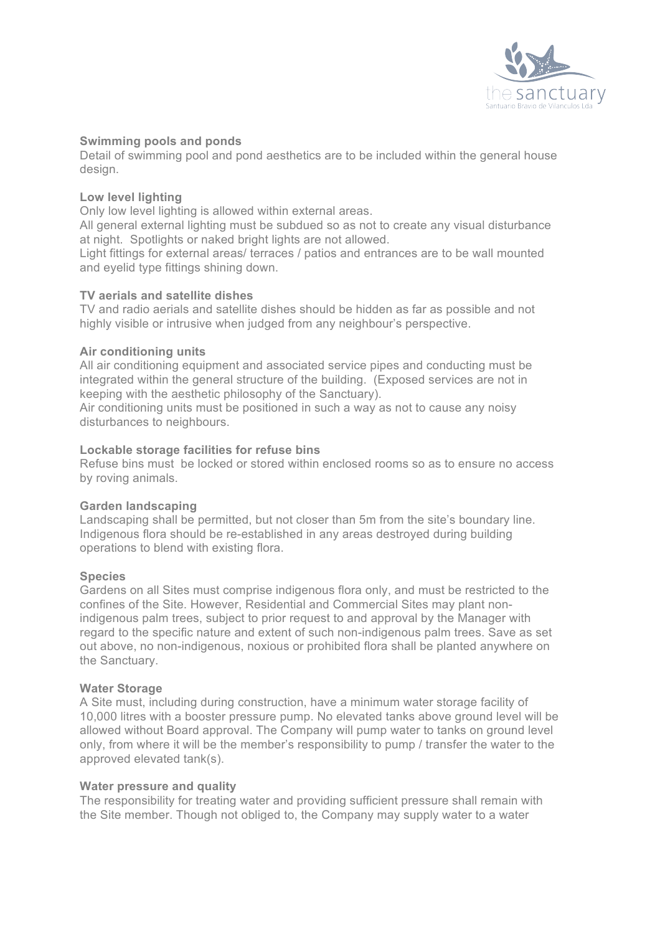

# **Swimming pools and ponds**

Detail of swimming pool and pond aesthetics are to be included within the general house design.

# **Low level lighting**

Only low level lighting is allowed within external areas.

All general external lighting must be subdued so as not to create any visual disturbance at night. Spotlights or naked bright lights are not allowed.

Light fittings for external areas/ terraces / patios and entrances are to be wall mounted and eyelid type fittings shining down.

#### **TV aerials and satellite dishes**

TV and radio aerials and satellite dishes should be hidden as far as possible and not highly visible or intrusive when judged from any neighbour's perspective.

# **Air conditioning units**

All air conditioning equipment and associated service pipes and conducting must be integrated within the general structure of the building. (Exposed services are not in keeping with the aesthetic philosophy of the Sanctuary).

Air conditioning units must be positioned in such a way as not to cause any noisy disturbances to neighbours.

# **Lockable storage facilities for refuse bins**

Refuse bins must be locked or stored within enclosed rooms so as to ensure no access by roving animals.

#### **Garden landscaping**

Landscaping shall be permitted, but not closer than 5m from the site's boundary line. Indigenous flora should be re-established in any areas destroyed during building operations to blend with existing flora.

#### **Species**

Gardens on all Sites must comprise indigenous flora only, and must be restricted to the confines of the Site. However, Residential and Commercial Sites may plant nonindigenous palm trees, subject to prior request to and approval by the Manager with regard to the specific nature and extent of such non-indigenous palm trees. Save as set out above, no non-indigenous, noxious or prohibited flora shall be planted anywhere on the Sanctuary.

#### **Water Storage**

A Site must, including during construction, have a minimum water storage facility of 10,000 litres with a booster pressure pump. No elevated tanks above ground level will be allowed without Board approval. The Company will pump water to tanks on ground level only, from where it will be the member's responsibility to pump / transfer the water to the approved elevated tank(s).

#### **Water pressure and quality**

The responsibility for treating water and providing sufficient pressure shall remain with the Site member. Though not obliged to, the Company may supply water to a water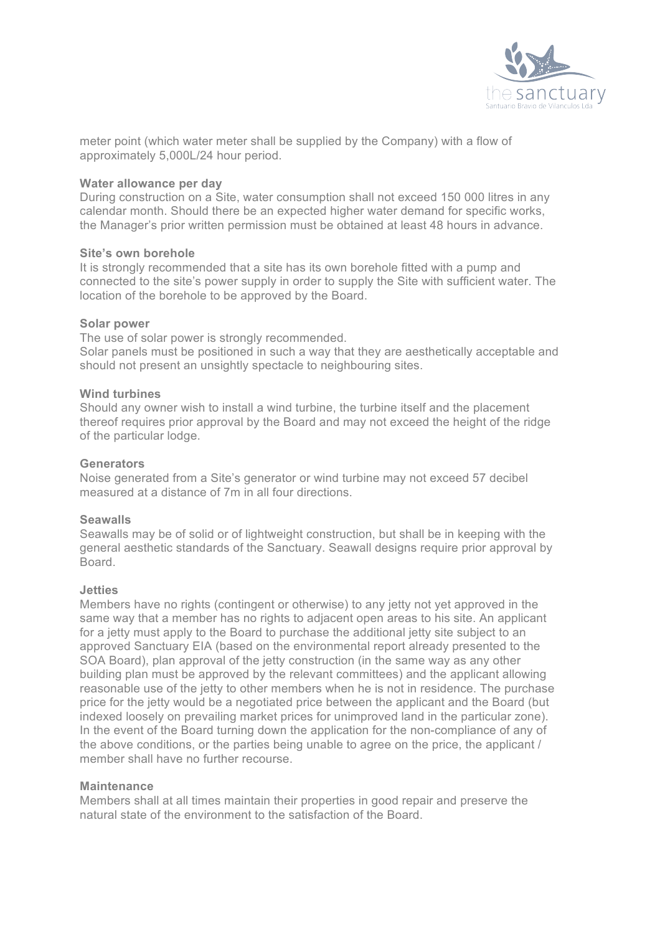

meter point (which water meter shall be supplied by the Company) with a flow of approximately 5,000L/24 hour period.

### **Water allowance per day**

During construction on a Site, water consumption shall not exceed 150 000 litres in any calendar month. Should there be an expected higher water demand for specific works, the Manager's prior written permission must be obtained at least 48 hours in advance.

#### **Site's own borehole**

It is strongly recommended that a site has its own borehole fitted with a pump and connected to the site's power supply in order to supply the Site with sufficient water. The location of the borehole to be approved by the Board.

# **Solar power**

The use of solar power is strongly recommended. Solar panels must be positioned in such a way that they are aesthetically acceptable and should not present an unsightly spectacle to neighbouring sites.

# **Wind turbines**

Should any owner wish to install a wind turbine, the turbine itself and the placement thereof requires prior approval by the Board and may not exceed the height of the ridge of the particular lodge.

# **Generators**

Noise generated from a Site's generator or wind turbine may not exceed 57 decibel measured at a distance of 7m in all four directions.

#### **Seawalls**

Seawalls may be of solid or of lightweight construction, but shall be in keeping with the general aesthetic standards of the Sanctuary. Seawall designs require prior approval by **Board** 

### **Jetties**

Members have no rights (contingent or otherwise) to any jetty not yet approved in the same way that a member has no rights to adjacent open areas to his site. An applicant for a jetty must apply to the Board to purchase the additional jetty site subject to an approved Sanctuary EIA (based on the environmental report already presented to the SOA Board), plan approval of the jetty construction (in the same way as any other building plan must be approved by the relevant committees) and the applicant allowing reasonable use of the jetty to other members when he is not in residence. The purchase price for the jetty would be a negotiated price between the applicant and the Board (but indexed loosely on prevailing market prices for unimproved land in the particular zone). In the event of the Board turning down the application for the non-compliance of any of the above conditions, or the parties being unable to agree on the price, the applicant / member shall have no further recourse.

#### **Maintenance**

Members shall at all times maintain their properties in good repair and preserve the natural state of the environment to the satisfaction of the Board.